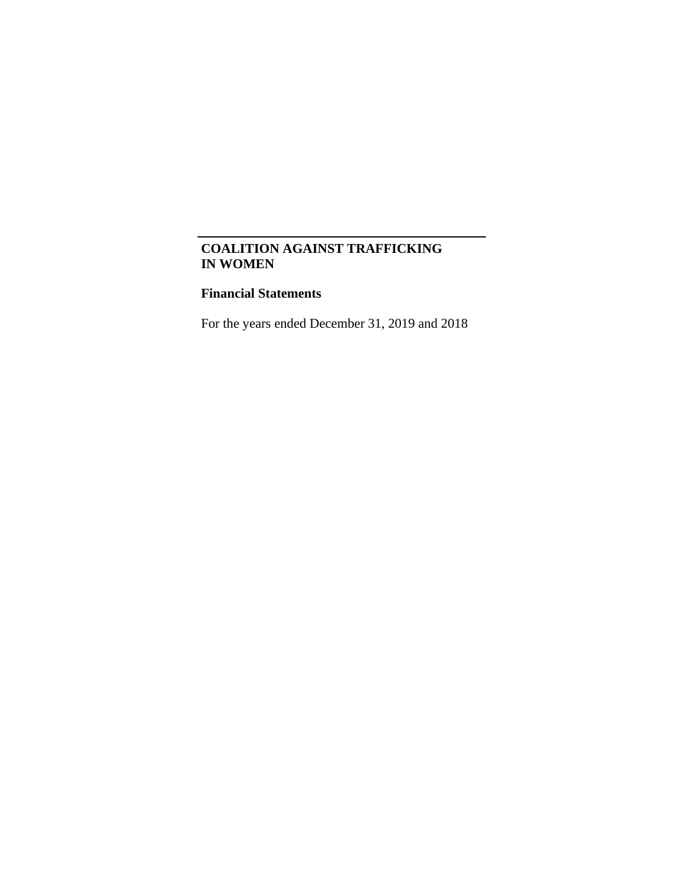## **Financial Statements**

For the years ended December 31, 2019 and 2018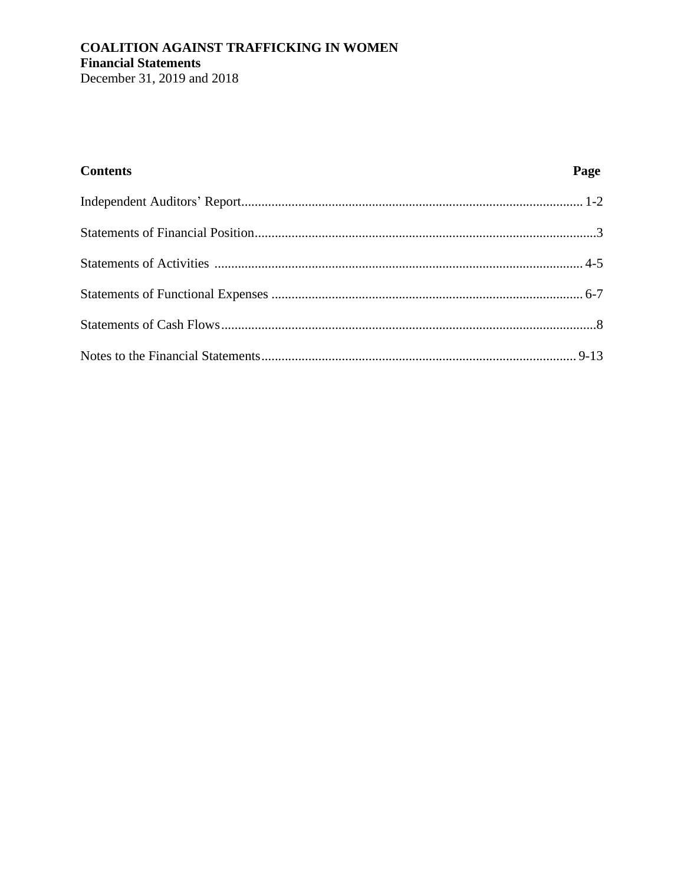# **COALITION AGAINST TRAFFICKING IN WOMEN Financial Statements**

December 31, 2019 and 2018

| <b>Contents</b> | Page |
|-----------------|------|
|                 |      |
|                 |      |
|                 |      |
|                 |      |
|                 |      |
|                 |      |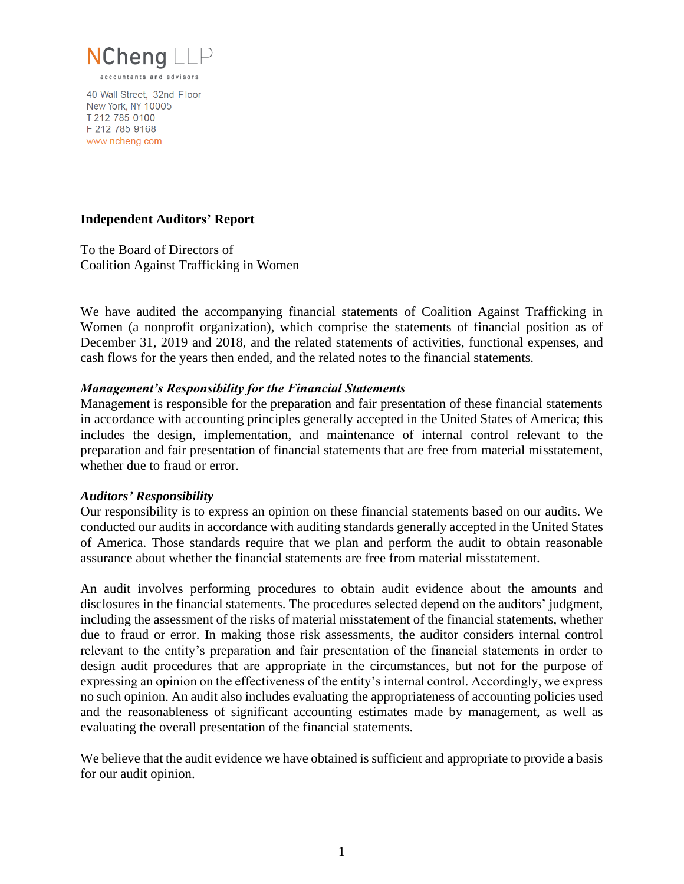

40 Wall Street, 32nd Floor New York, NY 10005 T 212 785 0100 F 212 785 9168 www.ncheng.com

### **Independent Auditors' Report**

To the Board of Directors of Coalition Against Trafficking in Women

We have audited the accompanying financial statements of Coalition Against Trafficking in Women (a nonprofit organization), which comprise the statements of financial position as of December 31, 2019 and 2018, and the related statements of activities, functional expenses, and cash flows for the years then ended, and the related notes to the financial statements.

### *Management's Responsibility for the Financial Statements*

Management is responsible for the preparation and fair presentation of these financial statements in accordance with accounting principles generally accepted in the United States of America; this includes the design, implementation, and maintenance of internal control relevant to the preparation and fair presentation of financial statements that are free from material misstatement, whether due to fraud or error.

#### *Auditors' Responsibility*

Our responsibility is to express an opinion on these financial statements based on our audits. We conducted our audits in accordance with auditing standards generally accepted in the United States of America. Those standards require that we plan and perform the audit to obtain reasonable assurance about whether the financial statements are free from material misstatement.

An audit involves performing procedures to obtain audit evidence about the amounts and disclosures in the financial statements. The procedures selected depend on the auditors' judgment, including the assessment of the risks of material misstatement of the financial statements, whether due to fraud or error. In making those risk assessments, the auditor considers internal control relevant to the entity's preparation and fair presentation of the financial statements in order to design audit procedures that are appropriate in the circumstances, but not for the purpose of expressing an opinion on the effectiveness of the entity's internal control. Accordingly, we express no such opinion. An audit also includes evaluating the appropriateness of accounting policies used and the reasonableness of significant accounting estimates made by management, as well as evaluating the overall presentation of the financial statements.

We believe that the audit evidence we have obtained is sufficient and appropriate to provide a basis for our audit opinion.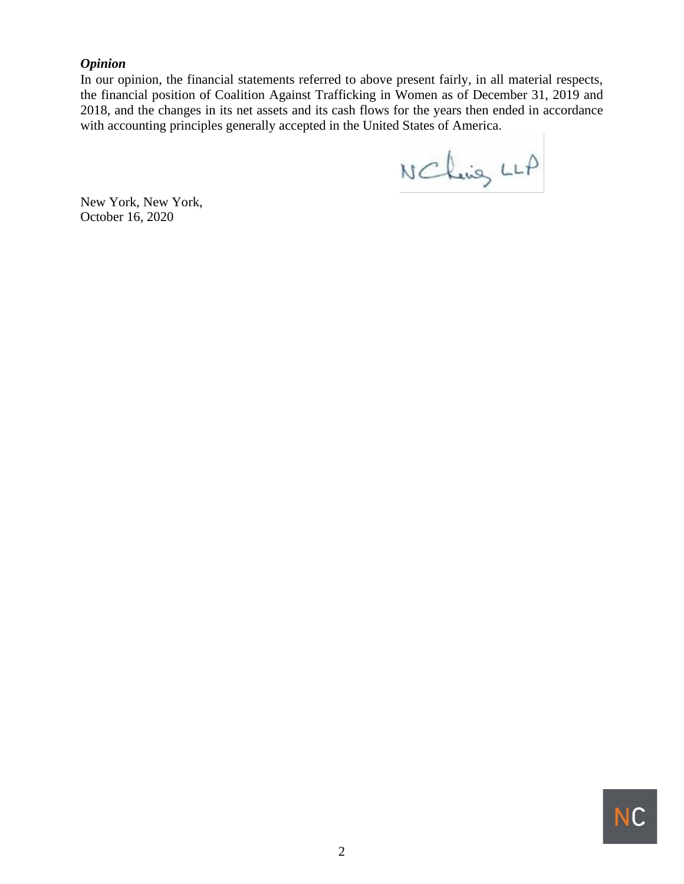## *Opinion*

In our opinion, the financial statements referred to above present fairly, in all material respects, the financial position of Coalition Against Trafficking in Women as of December 31, 2019 and 2018, and the changes in its net assets and its cash flows for the years then ended in accordance with accounting principles generally accepted in the United States of America.

N Chang LLA

New York, New York, October 16, 2020

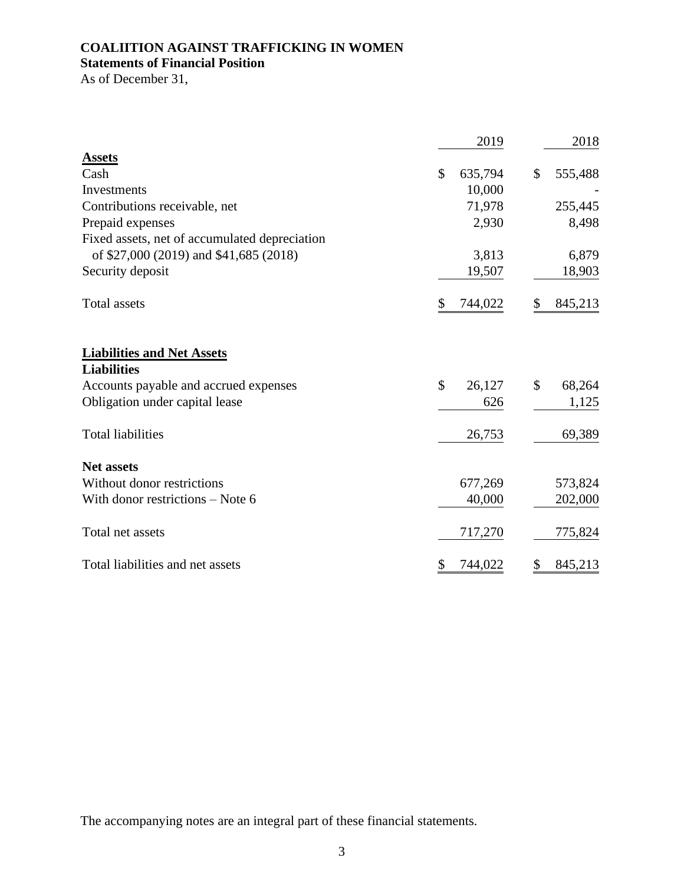## **Statements of Financial Position**

As of December 31,

|                                                         |               | 2019    | 2018          |
|---------------------------------------------------------|---------------|---------|---------------|
| <b>Assets</b>                                           |               |         |               |
| Cash                                                    | $\mathcal{S}$ | 635,794 | \$<br>555,488 |
| Investments                                             |               | 10,000  |               |
| Contributions receivable, net                           |               | 71,978  | 255,445       |
| Prepaid expenses                                        |               | 2,930   | 8,498         |
| Fixed assets, net of accumulated depreciation           |               |         |               |
| of \$27,000 (2019) and \$41,685 (2018)                  |               | 3,813   | 6,879         |
| Security deposit                                        |               | 19,507  | 18,903        |
| <b>Total assets</b>                                     | \$            | 744,022 | \$<br>845,213 |
| <b>Liabilities and Net Assets</b><br><b>Liabilities</b> |               |         |               |
| Accounts payable and accrued expenses                   | \$            | 26,127  | \$<br>68,264  |
| Obligation under capital lease                          |               | 626     | 1,125         |
| <b>Total liabilities</b>                                |               | 26,753  | 69,389        |
| <b>Net assets</b>                                       |               |         |               |
| Without donor restrictions                              |               | 677,269 | 573,824       |
| With donor restrictions – Note 6                        |               | 40,000  | 202,000       |
| Total net assets                                        |               | 717,270 | 775,824       |
| Total liabilities and net assets                        | \$            | 744,022 | \$<br>845,213 |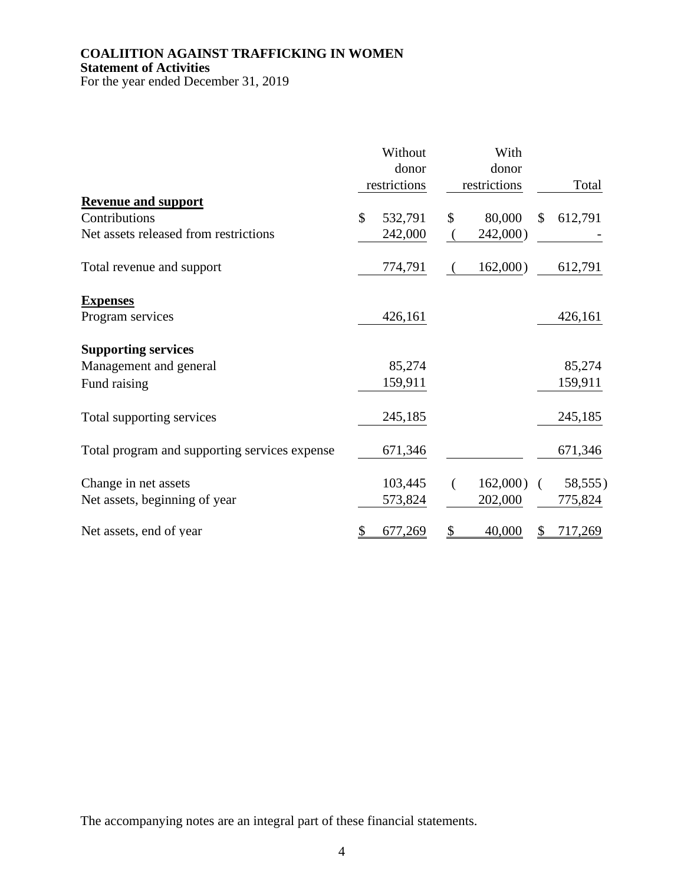### **COALIITION AGAINST TRAFFICKING IN WOMEN Statement of Activities**

For the year ended December 31, 2019

|                                               | Without<br>donor<br>restrictions | With<br>donor<br>restrictions |     | Total   |
|-----------------------------------------------|----------------------------------|-------------------------------|-----|---------|
| <b>Revenue and support</b>                    |                                  |                               |     |         |
| Contributions                                 | \$<br>532,791                    | \$<br>80,000                  | \$  | 612,791 |
| Net assets released from restrictions         | 242,000                          | 242,000)                      |     |         |
| Total revenue and support                     | 774,791                          | 162,000)                      |     | 612,791 |
| <b>Expenses</b>                               |                                  |                               |     |         |
| Program services                              | 426,161                          |                               |     | 426,161 |
| <b>Supporting services</b>                    |                                  |                               |     |         |
| Management and general                        | 85,274                           |                               |     | 85,274  |
| Fund raising                                  | 159,911                          |                               |     | 159,911 |
| Total supporting services                     | 245,185                          |                               |     | 245,185 |
| Total program and supporting services expense | 671,346                          |                               |     | 671,346 |
| Change in net assets                          | 103,445                          | $162,000$ )                   | - 1 | 58,555) |
| Net assets, beginning of year                 | 573,824                          | 202,000                       |     | 775,824 |
| Net assets, end of year                       | \$<br>677,269                    | \$<br>40,000                  |     | 717,269 |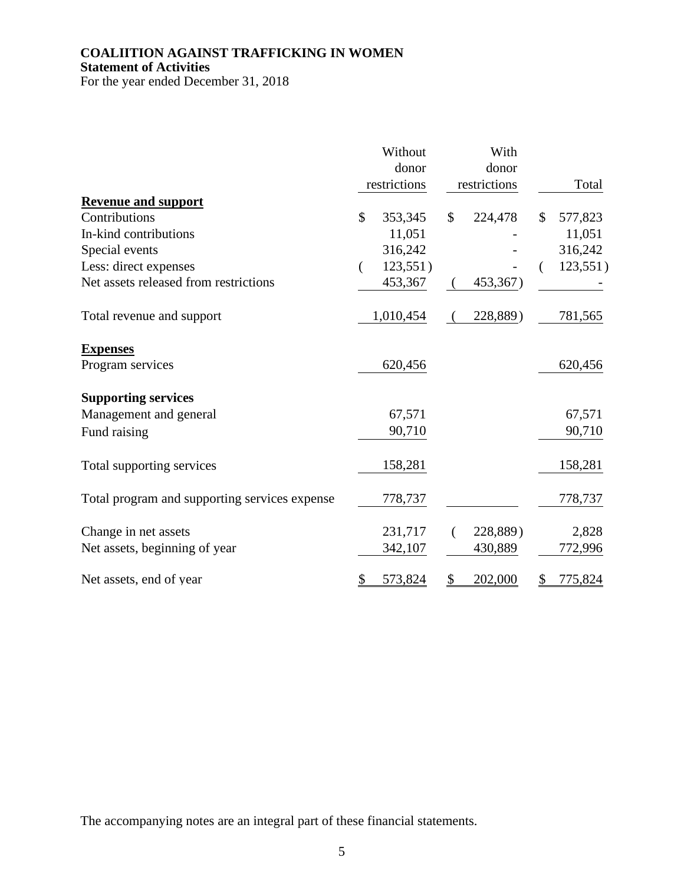## **COALIITION AGAINST TRAFFICKING IN WOMEN Statement of Activities**

For the year ended December 31, 2018

|                                               | Without<br>donor<br>restrictions | With<br>donor<br>restrictions | Total         |
|-----------------------------------------------|----------------------------------|-------------------------------|---------------|
| <b>Revenue and support</b><br>Contributions   | $\mathcal{S}$<br>353,345         | \$<br>224,478                 | \$<br>577,823 |
| In-kind contributions                         | 11,051                           |                               | 11,051        |
| Special events                                | 316,242                          |                               | 316,242       |
| Less: direct expenses                         | 123,551)                         |                               | 123,551)      |
| Net assets released from restrictions         | 453,367                          | 453,367)                      |               |
| Total revenue and support                     | 1,010,454                        | 228,889)                      | 781,565       |
| <b>Expenses</b>                               |                                  |                               |               |
| Program services                              | 620,456                          |                               | 620,456       |
| <b>Supporting services</b>                    |                                  |                               |               |
| Management and general                        | 67,571                           |                               | 67,571        |
| Fund raising                                  | 90,710                           |                               | 90,710        |
| Total supporting services                     | 158,281                          |                               | 158,281       |
| Total program and supporting services expense | 778,737                          |                               | 778,737       |
| Change in net assets                          | 231,717                          | 228,889)                      | 2,828         |
| Net assets, beginning of year                 | 342,107                          | 430,889                       | 772,996       |
| Net assets, end of year                       | \$<br>573,824                    | \$<br>202,000                 | 775,824<br>S  |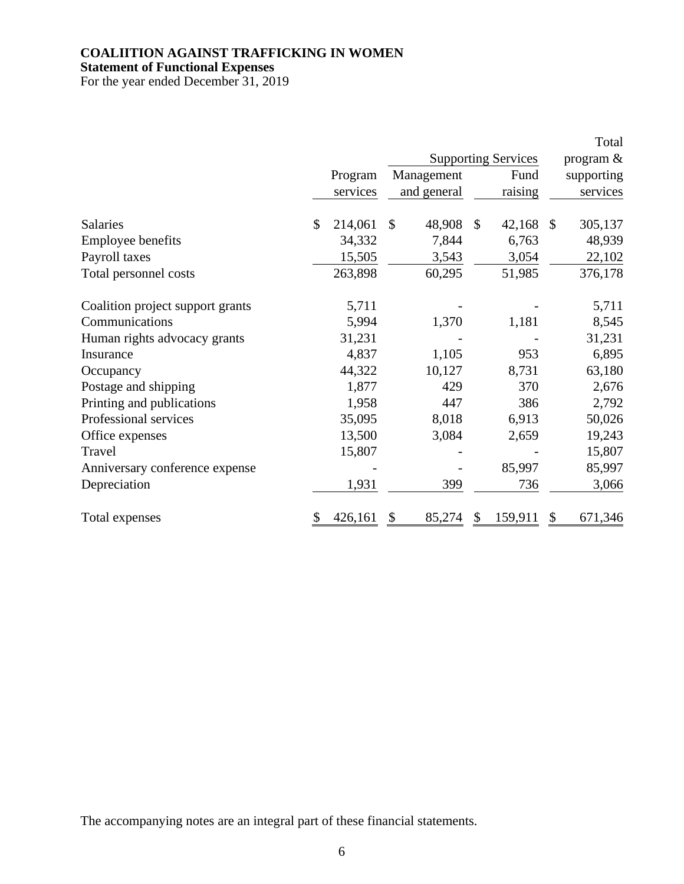**Statement of Functional Expenses**

For the year ended December 31, 2019

|                                  |         |          |               |             |              |                            | Total         |
|----------------------------------|---------|----------|---------------|-------------|--------------|----------------------------|---------------|
|                                  |         |          |               |             |              | <b>Supporting Services</b> | program &     |
|                                  | Program |          |               | Management  |              | Fund                       | supporting    |
|                                  |         | services |               | and general |              | raising                    | services      |
| <b>Salaries</b>                  | \$      | 214,061  | $\mathcal{S}$ | 48,908      | $\mathbb{S}$ | 42,168                     | \$<br>305,137 |
| <b>Employee benefits</b>         |         | 34,332   |               | 7,844       |              | 6,763                      | 48,939        |
| Payroll taxes                    |         | 15,505   |               | 3,543       |              | 3,054                      | 22,102        |
| Total personnel costs            |         | 263,898  |               | 60,295      |              | 51,985                     | 376,178       |
| Coalition project support grants |         | 5,711    |               |             |              |                            | 5,711         |
| Communications                   |         | 5,994    |               | 1,370       |              | 1,181                      | 8,545         |
| Human rights advocacy grants     |         | 31,231   |               |             |              |                            | 31,231        |
| Insurance                        |         | 4,837    |               | 1,105       |              | 953                        | 6,895         |
| Occupancy                        |         | 44,322   |               | 10,127      |              | 8,731                      | 63,180        |
| Postage and shipping             |         | 1,877    |               | 429         |              | 370                        | 2,676         |
| Printing and publications        |         | 1,958    |               | 447         |              | 386                        | 2,792         |
| Professional services            |         | 35,095   |               | 8,018       |              | 6,913                      | 50,026        |
| Office expenses                  |         | 13,500   |               | 3,084       |              | 2,659                      | 19,243        |
| Travel                           |         | 15,807   |               |             |              |                            | 15,807        |
| Anniversary conference expense   |         |          |               |             |              | 85,997                     | 85,997        |
| Depreciation                     |         | 1,931    |               | 399         |              | 736                        | 3,066         |
| Total expenses                   |         | 426,161  |               | 85,274      | \$.          | 159,911                    | 671,346       |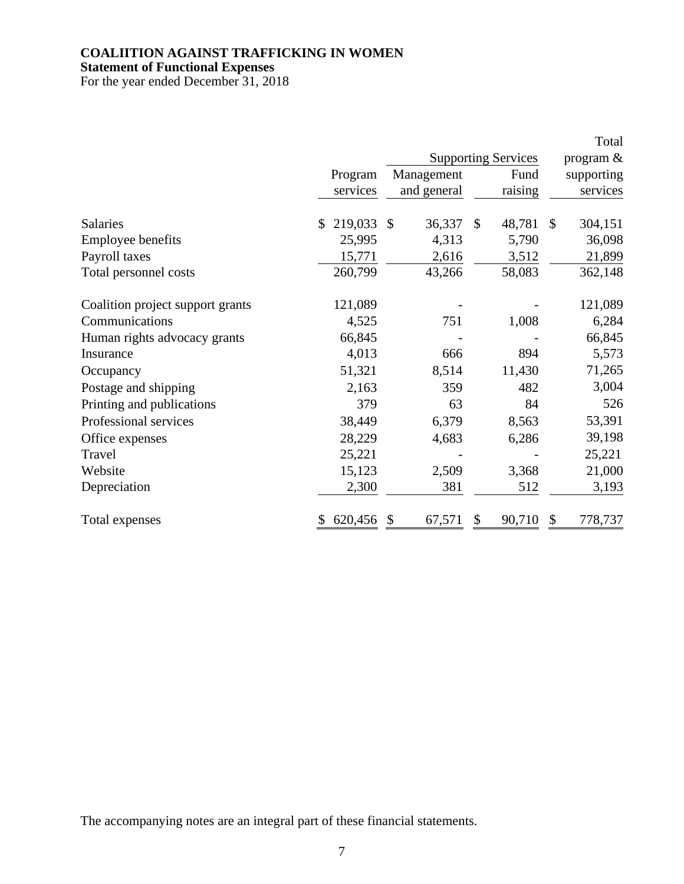**Statement of Functional Expenses**

For the year ended December 31, 2018

|                                  |                |                        |                            | Total         |
|----------------------------------|----------------|------------------------|----------------------------|---------------|
|                                  |                |                        | <b>Supporting Services</b> | program &     |
|                                  | Program        | Management             | Fund                       | supporting    |
|                                  | services       | and general            | raising                    | services      |
| Salaries                         | \$219,033      | 36,337<br>$\mathbb{S}$ | $\mathcal{S}$<br>48,781    | 304,151<br>\$ |
| <b>Employee benefits</b>         | 25,995         | 4,313                  | 5,790                      | 36,098        |
| Payroll taxes                    | 15,771         | 2,616                  | 3,512                      | 21,899        |
| Total personnel costs            | 260,799        | 43,266                 | 58,083                     | 362,148       |
| Coalition project support grants | 121,089        |                        |                            | 121,089       |
| Communications                   | 4,525          | 751                    | 1,008                      | 6,284         |
| Human rights advocacy grants     | 66,845         |                        |                            | 66,845        |
| Insurance                        | 4,013          | 666                    | 894                        | 5,573         |
| Occupancy                        | 51,321         | 8,514                  | 11,430                     | 71,265        |
| Postage and shipping             | 2,163          | 359                    | 482                        | 3,004         |
| Printing and publications        | 379            | 63                     | 84                         | 526           |
| Professional services            | 38,449         | 6,379                  | 8,563                      | 53,391        |
| Office expenses                  | 28,229         | 4,683                  | 6,286                      | 39,198        |
| Travel                           | 25,221         |                        |                            | 25,221        |
| Website                          | 15,123         | 2,509                  | 3,368                      | 21,000        |
| Depreciation                     | 2,300          | 381                    | 512                        | 3,193         |
| Total expenses                   | 620,456<br>\$. | 67,571<br>S            | 90,710<br>S                | 778,737<br>\$ |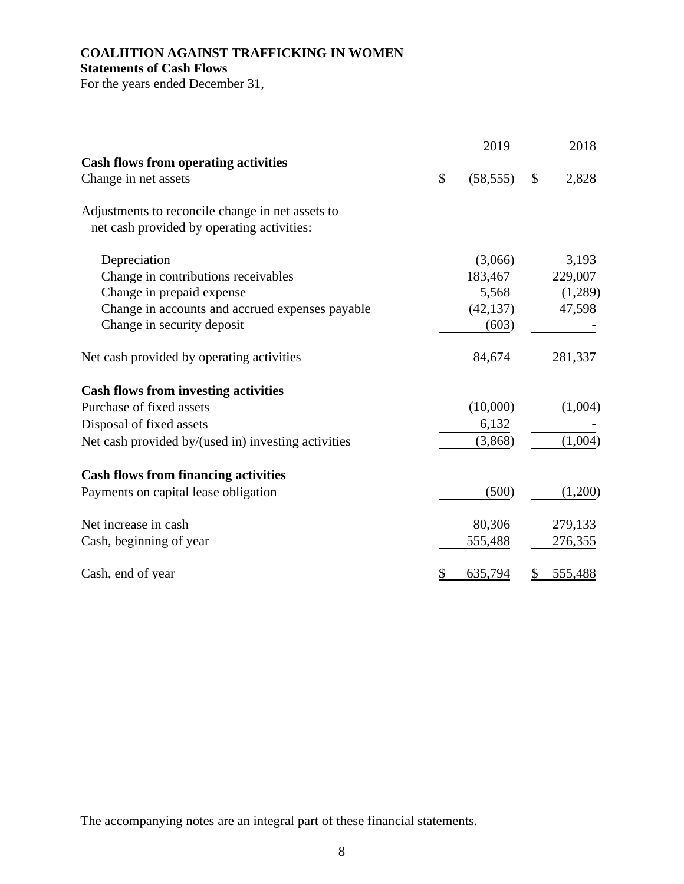## **COALIITION AGAINST TRAFFICKING IN WOMEN Statements of Cash Flows**

For the years ended December 31,

|                                                                                                | 2019            |               | 2018    |
|------------------------------------------------------------------------------------------------|-----------------|---------------|---------|
| <b>Cash flows from operating activities</b>                                                    |                 |               |         |
| Change in net assets                                                                           | \$<br>(58, 555) | $\mathcal{S}$ | 2,828   |
| Adjustments to reconcile change in net assets to<br>net cash provided by operating activities: |                 |               |         |
| Depreciation                                                                                   | (3,066)         |               | 3,193   |
| Change in contributions receivables                                                            | 183,467         |               | 229,007 |
| Change in prepaid expense                                                                      | 5,568           |               | (1,289) |
| Change in accounts and accrued expenses payable                                                | (42, 137)       |               | 47,598  |
| Change in security deposit                                                                     | (603)           |               |         |
| Net cash provided by operating activities                                                      | 84,674          |               | 281,337 |
| <b>Cash flows from investing activities</b>                                                    |                 |               |         |
| Purchase of fixed assets                                                                       | (10,000)        |               | (1,004) |
| Disposal of fixed assets                                                                       | 6,132           |               |         |
| Net cash provided by/(used in) investing activities                                            | (3,868)         |               | (1,004) |
| <b>Cash flows from financing activities</b>                                                    |                 |               |         |
| Payments on capital lease obligation                                                           | (500)           |               | (1,200) |
| Net increase in cash                                                                           | 80,306          |               | 279,133 |
| Cash, beginning of year                                                                        | 555,488         |               | 276,355 |
| Cash, end of year                                                                              | \$<br>635,794   | \$            | 555,488 |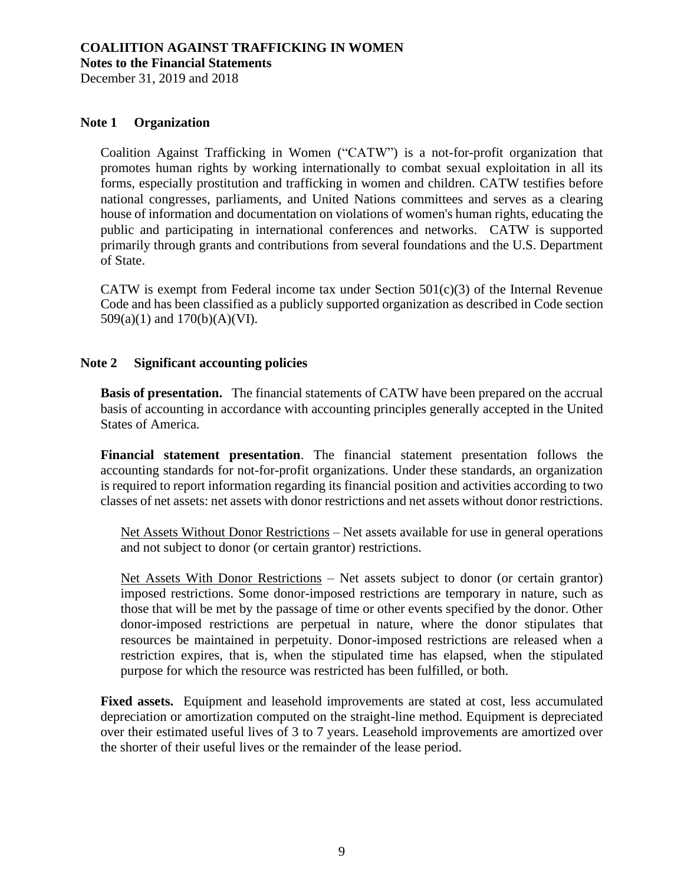**Notes to the Financial Statements**

December 31, 2019 and 2018

### **Note 1 Organization**

Coalition Against Trafficking in Women ("CATW") is a not-for-profit organization that promotes human rights by working internationally to combat sexual exploitation in all its forms, especially prostitution and trafficking in women and children. CATW testifies before national congresses, parliaments, and United Nations committees and serves as a clearing house of information and documentation on violations of women's human rights, educating the public and participating in international conferences and networks. CATW is supported primarily through grants and contributions from several foundations and the U.S. Department of State.

CATW is exempt from Federal income tax under Section  $501(c)(3)$  of the Internal Revenue Code and has been classified as a publicly supported organization as described in Code section 509(a)(1) and 170(b)(A)(VI).

### **Note 2 Significant accounting policies**

**Basis of presentation.** The financial statements of CATW have been prepared on the accrual basis of accounting in accordance with accounting principles generally accepted in the United States of America.

**Financial statement presentation**. The financial statement presentation follows the accounting standards for not-for-profit organizations. Under these standards, an organization is required to report information regarding its financial position and activities according to two classes of net assets: net assets with donor restrictions and net assets without donor restrictions.

Net Assets Without Donor Restrictions – Net assets available for use in general operations and not subject to donor (or certain grantor) restrictions.

Net Assets With Donor Restrictions – Net assets subject to donor (or certain grantor) imposed restrictions. Some donor-imposed restrictions are temporary in nature, such as those that will be met by the passage of time or other events specified by the donor. Other donor-imposed restrictions are perpetual in nature, where the donor stipulates that resources be maintained in perpetuity. Donor-imposed restrictions are released when a restriction expires, that is, when the stipulated time has elapsed, when the stipulated purpose for which the resource was restricted has been fulfilled, or both.

**Fixed assets.** Equipment and leasehold improvements are stated at cost, less accumulated depreciation or amortization computed on the straight-line method. Equipment is depreciated over their estimated useful lives of 3 to 7 years. Leasehold improvements are amortized over the shorter of their useful lives or the remainder of the lease period.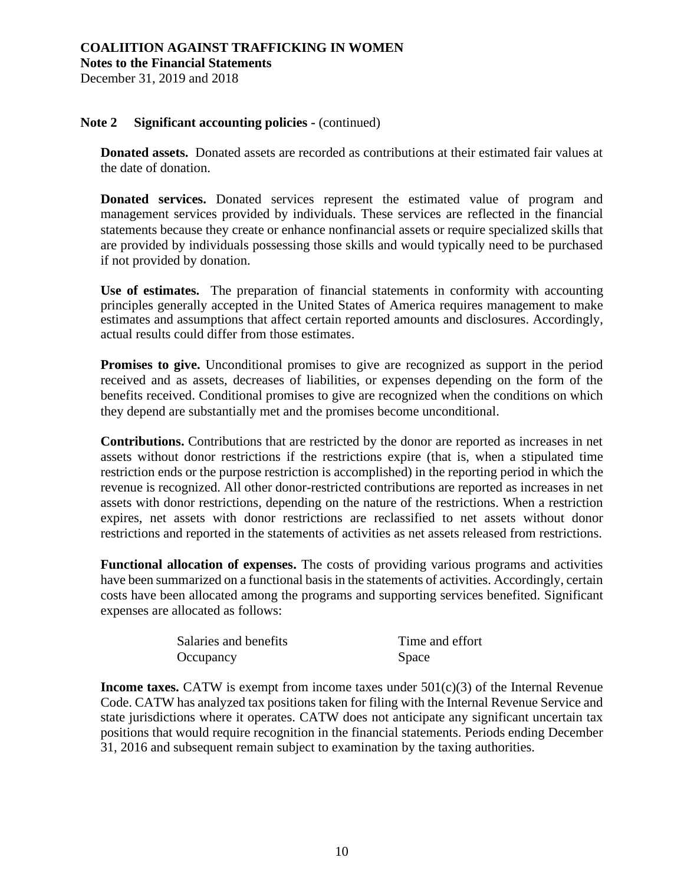**Notes to the Financial Statements**

December 31, 2019 and 2018

### **Note 2 Significant accounting policies -** (continued)

**Donated assets.** Donated assets are recorded as contributions at their estimated fair values at the date of donation.

**Donated services.** Donated services represent the estimated value of program and management services provided by individuals. These services are reflected in the financial statements because they create or enhance nonfinancial assets or require specialized skills that are provided by individuals possessing those skills and would typically need to be purchased if not provided by donation.

**Use of estimates.** The preparation of financial statements in conformity with accounting principles generally accepted in the United States of America requires management to make estimates and assumptions that affect certain reported amounts and disclosures. Accordingly, actual results could differ from those estimates.

Promises to give. Unconditional promises to give are recognized as support in the period received and as assets, decreases of liabilities, or expenses depending on the form of the benefits received. Conditional promises to give are recognized when the conditions on which they depend are substantially met and the promises become unconditional.

**Contributions.** Contributions that are restricted by the donor are reported as increases in net assets without donor restrictions if the restrictions expire (that is, when a stipulated time restriction ends or the purpose restriction is accomplished) in the reporting period in which the revenue is recognized. All other donor-restricted contributions are reported as increases in net assets with donor restrictions, depending on the nature of the restrictions. When a restriction expires, net assets with donor restrictions are reclassified to net assets without donor restrictions and reported in the statements of activities as net assets released from restrictions.

**Functional allocation of expenses.** The costs of providing various programs and activities have been summarized on a functional basis in the statements of activities. Accordingly, certain costs have been allocated among the programs and supporting services benefited. Significant expenses are allocated as follows:

| Salaries and benefits | Time and effort |
|-----------------------|-----------------|
| Occupancy             | Space           |

**Income taxes.** CATW is exempt from income taxes under  $501(c)(3)$  of the Internal Revenue Code. CATW has analyzed tax positions taken for filing with the Internal Revenue Service and state jurisdictions where it operates. CATW does not anticipate any significant uncertain tax positions that would require recognition in the financial statements. Periods ending December 31, 2016 and subsequent remain subject to examination by the taxing authorities.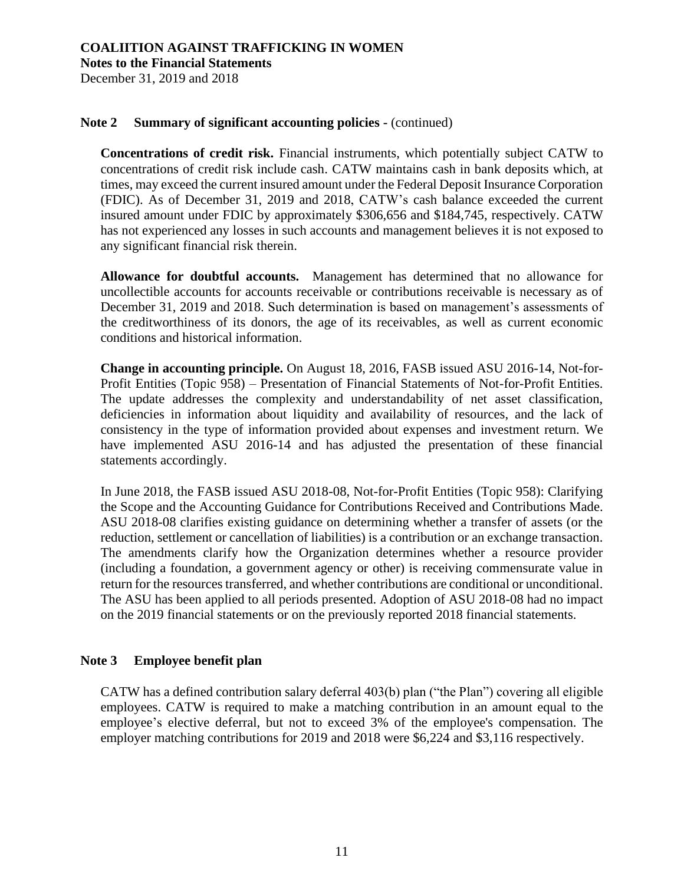**Notes to the Financial Statements**

December 31, 2019 and 2018

### **Note 2 Summary of significant accounting policies -** (continued)

**Concentrations of credit risk.** Financial instruments, which potentially subject CATW to concentrations of credit risk include cash. CATW maintains cash in bank deposits which, at times, may exceed the current insured amount under the Federal Deposit Insurance Corporation (FDIC). As of December 31, 2019 and 2018, CATW's cash balance exceeded the current insured amount under FDIC by approximately \$306,656 and \$184,745, respectively. CATW has not experienced any losses in such accounts and management believes it is not exposed to any significant financial risk therein.

**Allowance for doubtful accounts.** Management has determined that no allowance for uncollectible accounts for accounts receivable or contributions receivable is necessary as of December 31, 2019 and 2018. Such determination is based on management's assessments of the creditworthiness of its donors, the age of its receivables, as well as current economic conditions and historical information.

**Change in accounting principle.** On August 18, 2016, FASB issued ASU 2016-14, Not-for-Profit Entities (Topic 958) – Presentation of Financial Statements of Not-for-Profit Entities. The update addresses the complexity and understandability of net asset classification, deficiencies in information about liquidity and availability of resources, and the lack of consistency in the type of information provided about expenses and investment return. We have implemented ASU 2016-14 and has adjusted the presentation of these financial statements accordingly.

In June 2018, the FASB issued ASU 2018-08, Not-for-Profit Entities (Topic 958): Clarifying the Scope and the Accounting Guidance for Contributions Received and Contributions Made. ASU 2018-08 clarifies existing guidance on determining whether a transfer of assets (or the reduction, settlement or cancellation of liabilities) is a contribution or an exchange transaction. The amendments clarify how the Organization determines whether a resource provider (including a foundation, a government agency or other) is receiving commensurate value in return for the resources transferred, and whether contributions are conditional or unconditional. The ASU has been applied to all periods presented. Adoption of ASU 2018-08 had no impact on the 2019 financial statements or on the previously reported 2018 financial statements.

### **Note 3 Employee benefit plan**

CATW has a defined contribution salary deferral 403(b) plan ("the Plan") covering all eligible employees. CATW is required to make a matching contribution in an amount equal to the employee's elective deferral, but not to exceed 3% of the employee's compensation. The employer matching contributions for 2019 and 2018 were \$6,224 and \$3,116 respectively.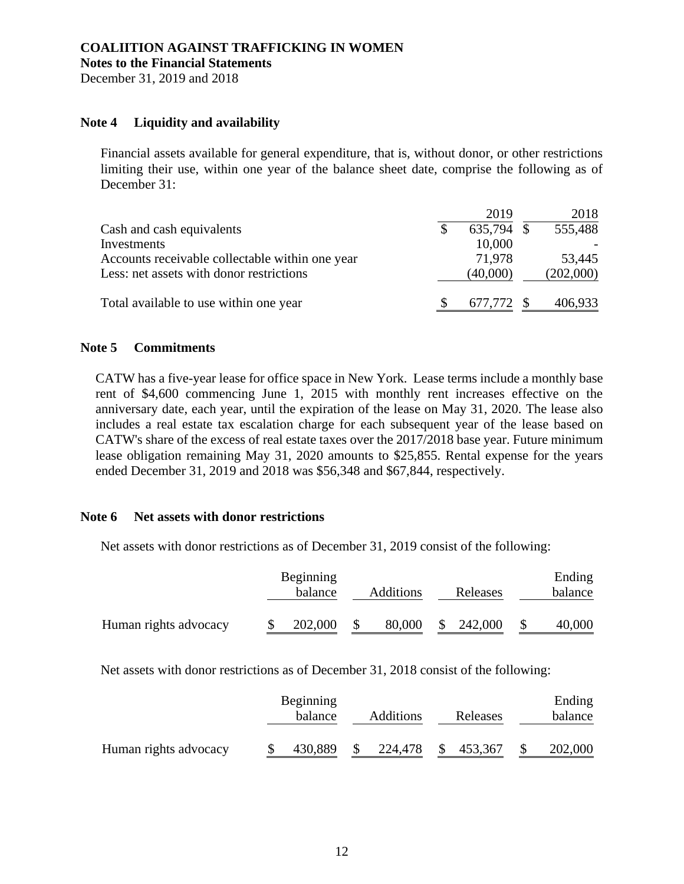#### **COALIITION AGAINST TRAFFICKING IN WOMEN Notes to the Financial Statements**

December 31, 2019 and 2018

### **Note 4 Liquidity and availability**

Financial assets available for general expenditure, that is, without donor, or other restrictions limiting their use, within one year of the balance sheet date, comprise the following as of December 31:

|                                                 | 2019       | 2018      |
|-------------------------------------------------|------------|-----------|
| Cash and cash equivalents                       | 635,794 \$ | 555,488   |
| Investments                                     | 10,000     |           |
| Accounts receivable collectable within one year | 71,978     | 53,445    |
| Less: net assets with donor restrictions        | (40,000)   | (202,000) |
| Total available to use within one year          | 677,772 \$ | 406,933   |

#### **Note 5 Commitments**

CATW has a five-year lease for office space in New York. Lease terms include a monthly base rent of \$4,600 commencing June 1, 2015 with monthly rent increases effective on the anniversary date, each year, until the expiration of the lease on May 31, 2020. The lease also includes a real estate tax escalation charge for each subsequent year of the lease based on CATW's share of the excess of real estate taxes over the 2017/2018 base year. Future minimum lease obligation remaining May 31, 2020 amounts to \$25,855. Rental expense for the years ended December 31, 2019 and 2018 was \$56,348 and \$67,844, respectively.

#### **Note 6 Net assets with donor restrictions**

Net assets with donor restrictions as of December 31, 2019 consist of the following:

|                       | Beginning<br>balance | <b>Additions</b> | Releases | Ending<br>balance |
|-----------------------|----------------------|------------------|----------|-------------------|
| Human rights advocacy | 202,000              | 80,000           | 242,000  | 40,000            |

Net assets with donor restrictions as of December 31, 2018 consist of the following:

|                       | Beginning<br>balance | <b>Additions</b> | Releases | Ending<br>balance |
|-----------------------|----------------------|------------------|----------|-------------------|
| Human rights advocacy | 430,889              | 224,478          | 453,367  | 202,000           |